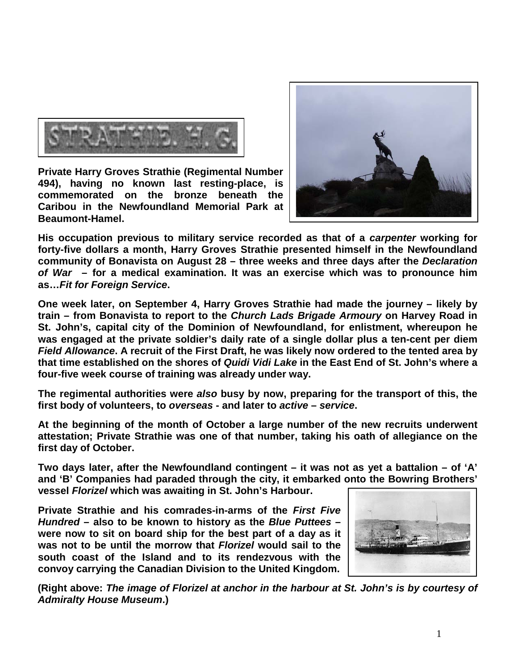

**Private Harry Groves Strathie (Regimental Number 494), having no known last resting-place, is commemorated on the bronze beneath the Caribou in the Newfoundland Memorial Park at Beaumont-Hamel.** 



**His occupation previous to military service recorded as that of a** *carpenter* **working for forty-five dollars a month, Harry Groves Strathie presented himself in the Newfoundland community of Bonavista on August 28 – three weeks and three days after the** *Declaration of War* **– for a medical examination. It was an exercise which was to pronounce him as…***Fit for Foreign Service***.**

**One week later, on September 4, Harry Groves Strathie had made the journey – likely by train – from Bonavista to report to the** *Church Lads Brigade Armoury* **on Harvey Road in St. John's, capital city of the Dominion of Newfoundland, for enlistment, whereupon he was engaged at the private soldier's daily rate of a single dollar plus a ten-cent per diem**  *Field Allowance***. A recruit of the First Draft, he was likely now ordered to the tented area by that time established on the shores of** *Quidi Vidi Lake* **in the East End of St. John's where a four-five week course of training was already under way.**

**The regimental authorities were** *also* **busy by now, preparing for the transport of this, the first body of volunteers, to** *overseas* **- and later to** *active* **–** *service***.**

**At the beginning of the month of October a large number of the new recruits underwent attestation; Private Strathie was one of that number, taking his oath of allegiance on the first day of October.**

**Two days later, after the Newfoundland contingent – it was not as yet a battalion – of 'A' and 'B' Companies had paraded through the city, it embarked onto the Bowring Brothers' vessel** *Florizel* **which was awaiting in St. John's Harbour.** 

**Private Strathie and his comrades-in-arms of the** *First Five Hundred* **– also to be known to history as the** *Blue Puttees* **– were now to sit on board ship for the best part of a day as it was not to be until the morrow that** *Florizel* **would sail to the south coast of the Island and to its rendezvous with the convoy carrying the Canadian Division to the United Kingdom.**



**(Right above:** *The image of Florizel at anchor in the harbour at St. John's is by courtesy of Admiralty House Museum***.)**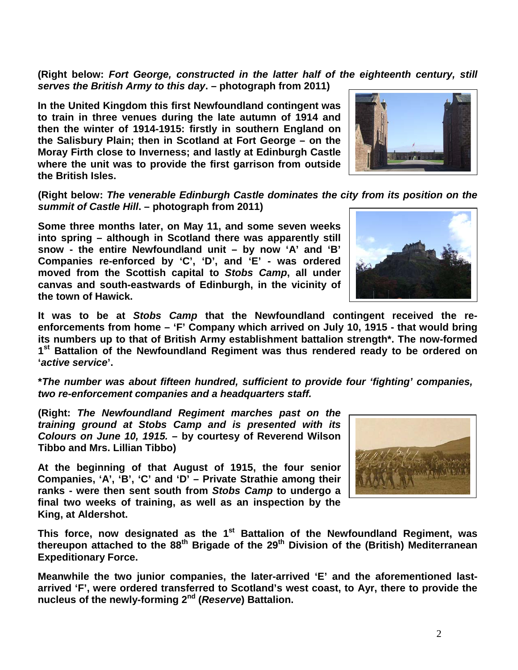**(Right below:** *Fort George, constructed in the latter half of the eighteenth century, still serves the British Army to this day***. – photograph from 2011)**

**In the United Kingdom this first Newfoundland contingent was to train in three venues during the late autumn of 1914 and then the winter of 1914-1915: firstly in southern England on the Salisbury Plain; then in Scotland at Fort George – on the Moray Firth close to Inverness; and lastly at Edinburgh Castle where the unit was to provide the first garrison from outside the British Isles.** 

**(Right below:** *The venerable Edinburgh Castle dominates the city from its position on the summit of Castle Hill***. – photograph from 2011)**

**Some three months later, on May 11, and some seven weeks into spring – although in Scotland there was apparently still snow - the entire Newfoundland unit – by now 'A' and 'B' Companies re-enforced by 'C', 'D', and 'E' - was ordered moved from the Scottish capital to** *Stobs Camp***, all under canvas and south-eastwards of Edinburgh, in the vicinity of the town of Hawick.** 

**It was to be at** *Stobs Camp* **that the Newfoundland contingent received the reenforcements from home – 'F' Company which arrived on July 10, 1915 - that would bring its numbers up to that of British Army establishment battalion strength\*. The now-formed 1st Battalion of the Newfoundland Regiment was thus rendered ready to be ordered on '***active service***'.**

**\****The number was about fifteen hundred, sufficient to provide four 'fighting' companies, two re-enforcement companies and a headquarters staff.*

**(Right:** *The Newfoundland Regiment marches past on the training ground at Stobs Camp and is presented with its Colours on June 10, 1915.* **– by courtesy of Reverend Wilson Tibbo and Mrs. Lillian Tibbo)**

**At the beginning of that August of 1915, the four senior Companies, 'A', 'B', 'C' and 'D' – Private Strathie among their ranks - were then sent south from** *Stobs Camp* **to undergo a final two weeks of training, as well as an inspection by the King, at Aldershot.** 

This force, now designated as the 1<sup>st</sup> Battalion of the Newfoundland Regiment, was **thereupon attached to the 88th Brigade of the 29th Division of the (British) Mediterranean Expeditionary Force.**

**Meanwhile the two junior companies, the later-arrived 'E' and the aforementioned lastarrived 'F', were ordered transferred to Scotland's west coast, to Ayr, there to provide the nucleus of the newly-forming 2nd (***Reserve***) Battalion.**





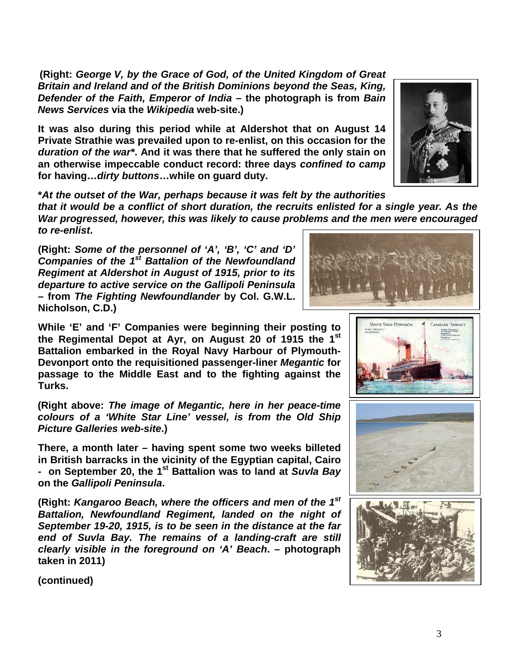**(Right:** *George V, by the Grace of God, of the United Kingdom of Great Britain and Ireland and of the British Dominions beyond the Seas, King, Defender of the Faith, Emperor of India* **– the photograph is from** *Bain News Services* **via the** *Wikipedia* **web-site.)**

**It was also during this period while at Aldershot that on August 14 Private Strathie was prevailed upon to re-enlist, on this occasion for the**  *duration of the war\****. And it was there that he suffered the only stain on an otherwise impeccable conduct record: three days** *confined to camp* **for having…***dirty buttons***…while on guard duty.**



**\****At the outset of the War, perhaps because it was felt by the authorities that it would be a conflict of short duration, the recruits enlisted for a single year. As the War progressed, however, this was likely to cause problems and the men were encouraged to re-enlist***.**

**(Right:** *Some of the personnel of 'A', 'B', 'C' and 'D' Companies of the 1st Battalion of the Newfoundland Regiment at Aldershot in August of 1915, prior to its departure to active service on the Gallipoli Peninsula*  **– from** *The Fighting Newfoundlander* **by Col. G.W.L. Nicholson, C.D.)**

**While 'E' and 'F' Companies were beginning their posting to the Regimental Depot at Ayr, on August 20 of 1915 the 1st Battalion embarked in the Royal Navy Harbour of Plymouth-Devonport onto the requisitioned passenger-liner** *Megantic* **for passage to the Middle East and to the fighting against the Turks.** 

**(Right above:** *The image of Megantic, here in her peace-time colours of a 'White Star Line' vessel, is from the Old Ship Picture Galleries web-site***.)**

**There, a month later – having spent some two weeks billeted in British barracks in the vicinity of the Egyptian capital, Cairo - on September 20, the 1st Battalion was to land at** *Suvla Bay* **on the** *Gallipoli Peninsula***.**

**(Right:** *Kangaroo Beach, where the officers and men of the 1st Battalion, Newfoundland Regiment, landed on the night of September 19-20, 1915, is to be seen in the distance at the far end of Suvla Bay. The remains of a landing-craft are still clearly visible in the foreground on 'A' Beach***. – photograph taken in 2011)**









**(continued)**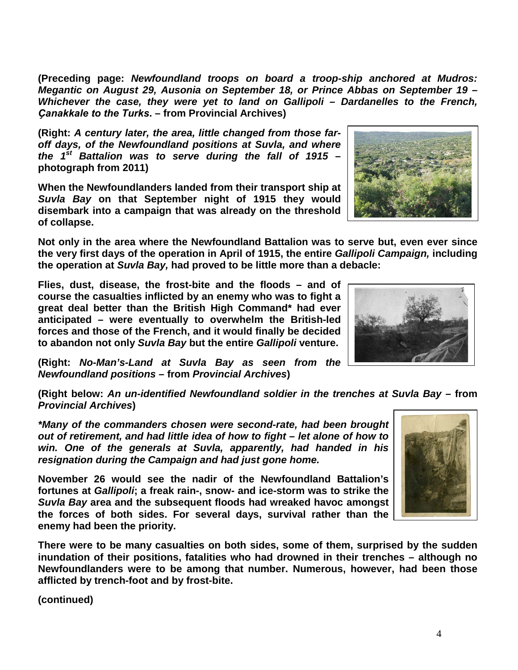**(Preceding page:** *Newfoundland troops on board a troop-ship anchored at Mudros: Megantic on August 29, Ausonia on September 18, or Prince Abbas on September 19 – Whichever the case, they were yet to land on Gallipoli – Dardanelles to the French, Ҫanakkale to the Turks***. – from Provincial Archives)**

**(Right:** *A century later, the area, little changed from those faroff days, of the Newfoundland positions at Suvla, and where the 1st Battalion was to serve during the fall of 1915* **– photograph from 2011)**

**When the Newfoundlanders landed from their transport ship at**  *Suvla Bay* **on that September night of 1915 they would disembark into a campaign that was already on the threshold of collapse.**

**Not only in the area where the Newfoundland Battalion was to serve but, even ever since the very first days of the operation in April of 1915, the entire** *Gallipoli Campaign,* **including the operation at** *Suvla Bay,* **had proved to be little more than a debacle:** 

**Flies, dust, disease, the frost-bite and the floods – and of course the casualties inflicted by an enemy who was to fight a great deal better than the British High Command\* had ever anticipated – were eventually to overwhelm the British-led forces and those of the French, and it would finally be decided to abandon not only** *Suvla Bay* **but the entire** *Gallipoli* **venture.**

**(Right:** *No-Man's-Land at Suvla Bay as seen from the Newfoundland positions* **– from** *Provincial Archives***)**

**(Right below:** *An un-identified Newfoundland soldier in the trenches at Suvla Bay –* **from**  *Provincial Archives***)**

*\*Many of the commanders chosen were second-rate, had been brought out of retirement, and had little idea of how to fight – let alone of how to win. One of the generals at Suvla, apparently, had handed in his resignation during the Campaign and had just gone home.* 

**November 26 would see the nadir of the Newfoundland Battalion's fortunes at** *Gallipoli***; a freak rain-, snow- and ice-storm was to strike the**  *Suvla Bay* **area and the subsequent floods had wreaked havoc amongst the forces of both sides. For several days, survival rather than the enemy had been the priority.**

**There were to be many casualties on both sides, some of them, surprised by the sudden inundation of their positions, fatalities who had drowned in their trenches – although no Newfoundlanders were to be among that number. Numerous, however, had been those afflicted by trench-foot and by frost-bite.**

**(continued)**





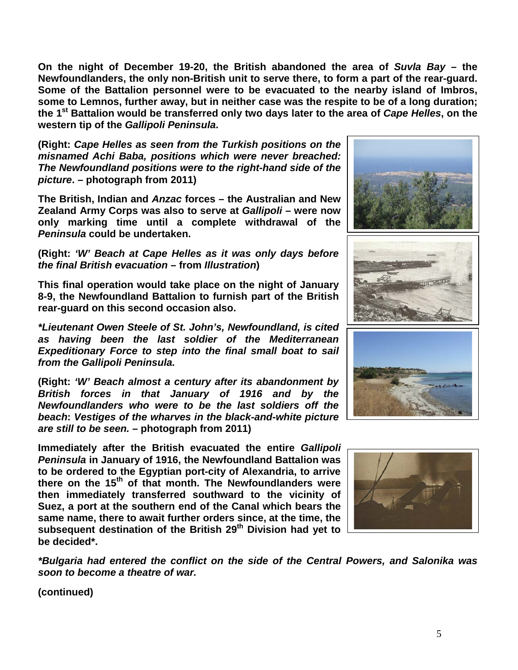**On the night of December 19-20, the British abandoned the area of** *Suvla Bay* **– the Newfoundlanders, the only non-British unit to serve there, to form a part of the rear-guard. Some of the Battalion personnel were to be evacuated to the nearby island of Imbros, some to Lemnos, further away, but in neither case was the respite to be of a long duration; the 1st Battalion would be transferred only two days later to the area of** *Cape Helles***, on the western tip of the** *Gallipoli Peninsula***.**

**(Right:** *Cape Helles as seen from the Turkish positions on the misnamed Achi Baba, positions which were never breached: The Newfoundland positions were to the right-hand side of the picture***. – photograph from 2011)**

**The British, Indian and** *Anzac* **forces – the Australian and New Zealand Army Corps was also to serve at** *Gallipoli* **– were now only marking time until a complete withdrawal of the**  *Peninsula* **could be undertaken.** 

**(Right:** *'W' Beach at Cape Helles as it was only days before the final British evacuation* **– from** *Illustration***)**

**This final operation would take place on the night of January 8-9, the Newfoundland Battalion to furnish part of the British rear-guard on this second occasion also.**

*\*Lieutenant Owen Steele of St. John's, Newfoundland, is cited as having been the last soldier of the Mediterranean Expeditionary Force to step into the final small boat to sail from the Gallipoli Peninsula.*

**(Right:** *'W' Beach almost a century after its abandonment by British forces in that January of 1916 and by the Newfoundlanders who were to be the last soldiers off the beach***:** *Vestiges of the wharves in the black-and-white picture are still to be seen.* **– photograph from 2011)**

**Immediately after the British evacuated the entire** *Gallipoli Peninsula* **in January of 1916, the Newfoundland Battalion was to be ordered to the Egyptian port-city of Alexandria, to arrive there on the 15th of that month. The Newfoundlanders were then immediately transferred southward to the vicinity of Suez, a port at the southern end of the Canal which bears the same name, there to await further orders since, at the time, the subsequent destination of the British 29th Division had yet to be decided\*.**



*\*Bulgaria had entered the conflict on the side of the Central Powers, and Salonika was soon to become a theatre of war.*

**(continued)**

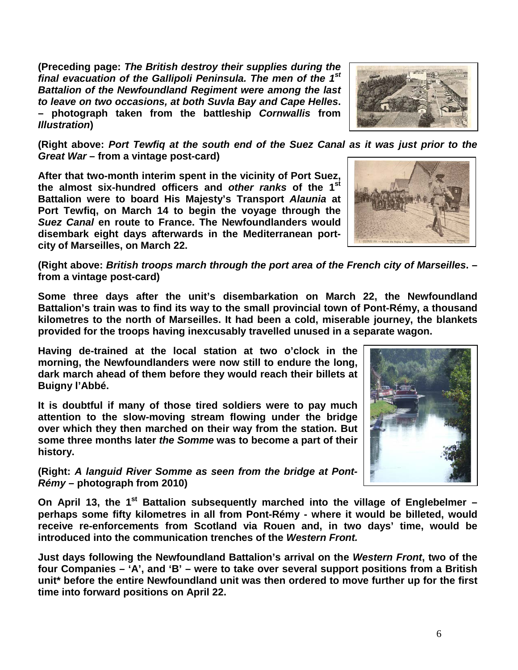**(Preceding page:** *The British destroy their supplies during the final evacuation of the Gallipoli Peninsula. The men of the 1st Battalion of the Newfoundland Regiment were among the last to leave on two occasions, at both Suvla Bay and Cape Helles***. – photograph taken from the battleship** *Cornwallis* **from**  *Illustration***)**



**(Right above:** *Port Tewfiq at the south end of the Suez Canal as it was just prior to the Great War* **– from a vintage post-card)**

**After that two-month interim spent in the vicinity of Port Suez, the almost six-hundred officers and** *other ranks* **of the 1st Battalion were to board His Majesty's Transport** *Alaunia* **at Port Tewfiq, on March 14 to begin the voyage through the**  *Suez Canal* **en route to France. The Newfoundlanders would disembark eight days afterwards in the Mediterranean portcity of Marseilles, on March 22.**



**(Right above:** *British troops march through the port area of the French city of Marseilles***. – from a vintage post-card)**

**Some three days after the unit's disembarkation on March 22, the Newfoundland Battalion's train was to find its way to the small provincial town of Pont-Rémy, a thousand kilometres to the north of Marseilles. It had been a cold, miserable journey, the blankets provided for the troops having inexcusably travelled unused in a separate wagon.**

**Having de-trained at the local station at two o'clock in the morning, the Newfoundlanders were now still to endure the long, dark march ahead of them before they would reach their billets at Buigny l'Abbé.**

**It is doubtful if many of those tired soldiers were to pay much attention to the slow-moving stream flowing under the bridge over which they then marched on their way from the station. But some three months later** *the Somme* **was to become a part of their history.**

**(Right:** *A languid River Somme as seen from the bridge at Pont-Rémy* **– photograph from 2010)**

On April 13, the 1<sup>st</sup> Battalion subsequently marched into the village of Englebelmer – **perhaps some fifty kilometres in all from Pont-Rémy - where it would be billeted, would receive re-enforcements from Scotland via Rouen and, in two days' time, would be introduced into the communication trenches of the** *Western Front.*

**Just days following the Newfoundland Battalion's arrival on the** *Western Front***, two of the four Companies – 'A', and 'B' – were to take over several support positions from a British unit\* before the entire Newfoundland unit was then ordered to move further up for the first time into forward positions on April 22.**

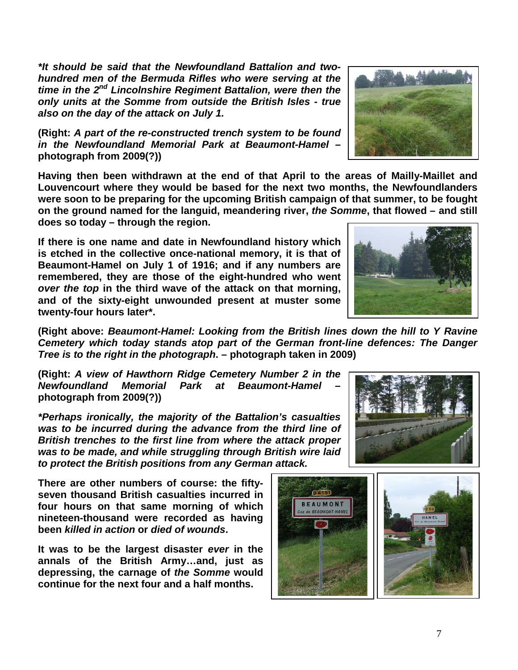*\*It should be said that the Newfoundland Battalion and twohundred men of the Bermuda Rifles who were serving at the time in the 2nd Lincolnshire Regiment Battalion, were then the only units at the Somme from outside the British Isles - true also on the day of the attack on July 1.*

**(Right:** *A part of the re-constructed trench system to be found in the Newfoundland Memorial Park at Beaumont-Hamel* **– photograph from 2009(?))**

**Having then been withdrawn at the end of that April to the areas of Mailly-Maillet and Louvencourt where they would be based for the next two months, the Newfoundlanders were soon to be preparing for the upcoming British campaign of that summer, to be fought on the ground named for the languid, meandering river,** *the Somme***, that flowed – and still does so today – through the region.** 

**If there is one name and date in Newfoundland history which is etched in the collective once-national memory, it is that of Beaumont-Hamel on July 1 of 1916; and if any numbers are remembered, they are those of the eight-hundred who went**  *over the top* **in the third wave of the attack on that morning, and of the sixty-eight unwounded present at muster some twenty-four hours later\*.**

**(Right above:** *Beaumont-Hamel: Looking from the British lines down the hill to Y Ravine Cemetery which today stands atop part of the German front-line defences: The Danger Tree is to the right in the photograph***. – photograph taken in 2009)**

**(Right:** *A view of Hawthorn Ridge Cemetery Number 2 in the Newfoundland Memorial Park at Beaumont-Hamel* **– photograph from 2009(?))**

*\*Perhaps ironically, the majority of the Battalion's casualties was to be incurred during the advance from the third line of British trenches to the first line from where the attack proper was to be made, and while struggling through British wire laid to protect the British positions from any German attack.*

**There are other numbers of course: the fiftyseven thousand British casualties incurred in four hours on that same morning of which nineteen-thousand were recorded as having been** *killed in action* **or** *died of wounds***.** 

**It was to be the largest disaster** *ever* **in the annals of the British Army…and, just as depressing, the carnage of** *the Somme* **would continue for the next four and a half months.**